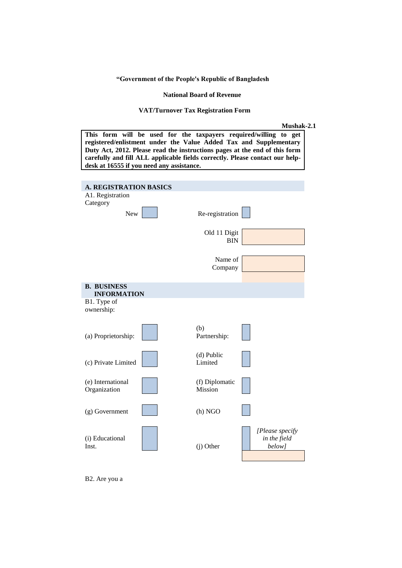**"Government of the People's Republic of Bangladesh**

 **National Board of Revenue**

### **VAT/Turnover Tax Registration Form**

| <b>Mushak-2.1</b> |  |
|-------------------|--|
|-------------------|--|

|                                            | This form will be used for the taxpayers required/willing |                                  | Mushak-2<br>get<br>to<br>registered/enlistment under the Value Added Tax and Supplementary |
|--------------------------------------------|-----------------------------------------------------------|----------------------------------|--------------------------------------------------------------------------------------------|
|                                            |                                                           |                                  | Duty Act, 2012. Please read the instructions pages at the end of this form                 |
|                                            | desk at 16555 if you need any assistance.                 |                                  | carefully and fill ALL applicable fields correctly. Please contact our help-               |
|                                            |                                                           |                                  |                                                                                            |
| A. REGISTRATION BASICS<br>A1. Registration |                                                           |                                  |                                                                                            |
| Category                                   |                                                           |                                  |                                                                                            |
| New                                        |                                                           | Re-registration                  |                                                                                            |
|                                            |                                                           | Old 11 Digit                     |                                                                                            |
|                                            |                                                           | <b>BIN</b>                       |                                                                                            |
|                                            |                                                           | Name of                          |                                                                                            |
|                                            |                                                           | Company                          |                                                                                            |
| <b>B. BUSINESS</b><br><b>INFORMATION</b>   |                                                           |                                  |                                                                                            |
| B1. Type of                                |                                                           |                                  |                                                                                            |
| ownership:                                 |                                                           |                                  |                                                                                            |
| (a) Proprietorship:                        |                                                           | (b)<br>Partnership:              |                                                                                            |
|                                            |                                                           |                                  |                                                                                            |
| (c) Private Limited                        |                                                           | (d) Public<br>Limited            |                                                                                            |
|                                            |                                                           |                                  |                                                                                            |
| (e) International<br>Organization          |                                                           | (f) Diplomatic<br><b>Mission</b> |                                                                                            |
|                                            |                                                           |                                  |                                                                                            |
| (g) Government                             |                                                           | $(h)$ NGO                        |                                                                                            |
|                                            |                                                           |                                  | [Please specify                                                                            |
| (i) Educational<br>Inst.                   |                                                           | $(i)$ Other                      | in the field<br>below]                                                                     |

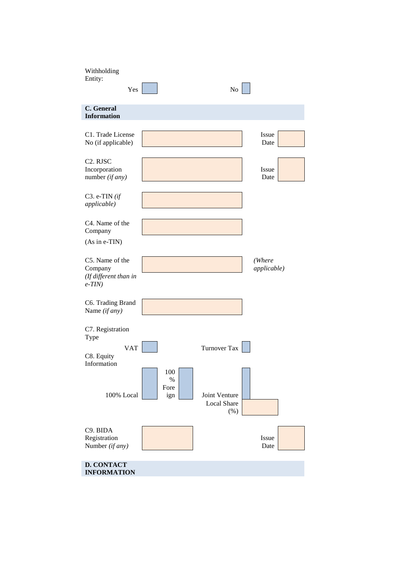| Withholding<br>Entity:<br>Yes                                       |                            | No                                          |                       |  |
|---------------------------------------------------------------------|----------------------------|---------------------------------------------|-----------------------|--|
| C. General<br><b>Information</b>                                    |                            |                                             |                       |  |
| C1. Trade License<br>No (if applicable)                             |                            |                                             | Issue<br>Date         |  |
| C <sub>2</sub> . RJSC<br>Incorporation<br>number $(if any)$         |                            |                                             | Issue<br>Date         |  |
| C3. e-TIN $(if)$<br><i>applicable</i> )                             |                            |                                             |                       |  |
| C4. Name of the<br>Company<br>(As in e-TIN)                         |                            |                                             |                       |  |
| C5. Name of the<br>Company<br>(If different than in<br>$e$ -TIN $)$ |                            |                                             | (Where<br>applicable) |  |
| C6. Trading Brand<br>Name (if any)                                  |                            |                                             |                       |  |
| C7. Registration<br>Type                                            |                            |                                             |                       |  |
| <b>VAT</b><br>C8. Equity<br>Information                             |                            | <b>Turnover Tax</b>                         |                       |  |
| 100% Local                                                          | 100<br>$\%$<br>Fore<br>ign | Joint Venture<br><b>Local Share</b><br>(% ) |                       |  |
| C9. BIDA<br>Registration<br>Number (if any)                         |                            |                                             | Issue<br>Date         |  |
| <b>D. CONTACT</b><br><b>INFORMATION</b>                             |                            |                                             |                       |  |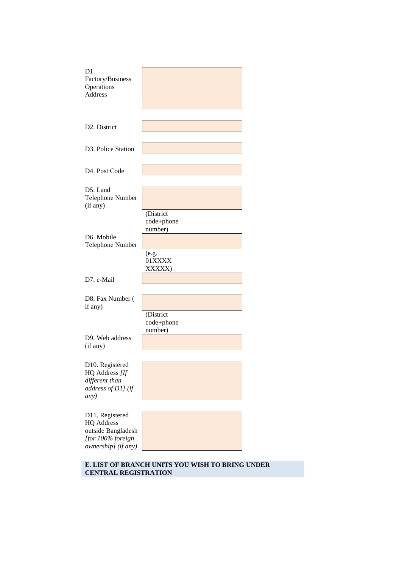| D1.<br>Factory/Business<br>Operations<br>Address                                                       |                                                                 |
|--------------------------------------------------------------------------------------------------------|-----------------------------------------------------------------|
| D <sub>2</sub> . District                                                                              |                                                                 |
| D <sub>3</sub> . Police Station                                                                        |                                                                 |
| D4. Post Code                                                                                          |                                                                 |
| D5. Land<br><b>Telephone Number</b><br>(if any)                                                        |                                                                 |
| D6. Mobile<br>Telephone Number                                                                         | (District<br>code+phone<br>number)<br>(e.g.<br>01XXXX<br>XXXXX) |
| D7. e-Mail                                                                                             |                                                                 |
| D8. Fax Number (<br>if any)                                                                            | (District<br>code+phone                                         |
| D <sub>9</sub> . Web address<br>(if any)                                                               | number)                                                         |
| D10. Registered<br>HQ Address [If<br>different than<br>address of D1] (if<br>any)                      |                                                                 |
| D11. Registered<br><b>HQ</b> Address<br>outside Bangladesh<br>[for 100% foreign<br>ownership] (if any) |                                                                 |

**E. LIST OF BRANCH UNITS YOU WISH TO BRING UNDER CENTRAL REGISTRATION**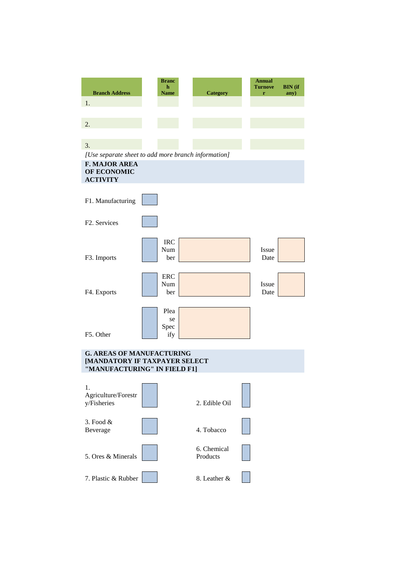| <b>Branch Address</b>                                                       | <b>Branc</b><br>h<br>Name | <b>Category</b>         | <b>Annual</b><br><b>Turnove</b><br>r | <b>BIN</b> (if<br>any) |
|-----------------------------------------------------------------------------|---------------------------|-------------------------|--------------------------------------|------------------------|
| 1.                                                                          |                           |                         |                                      |                        |
|                                                                             |                           |                         |                                      |                        |
| 2.                                                                          |                           |                         |                                      |                        |
|                                                                             |                           |                         |                                      |                        |
| 3.                                                                          |                           |                         |                                      |                        |
| [Use separate sheet to add more branch information]<br><b>F. MAJOR AREA</b> |                           |                         |                                      |                        |
| OF ECONOMIC                                                                 |                           |                         |                                      |                        |
| <b>ACTIVITY</b>                                                             |                           |                         |                                      |                        |
| F1. Manufacturing                                                           |                           |                         |                                      |                        |
| F <sub>2</sub> . Services                                                   |                           |                         |                                      |                        |
|                                                                             | <b>IRC</b>                |                         |                                      |                        |
| F3. Imports                                                                 | Num<br>ber                |                         | Issue<br>Date                        |                        |
|                                                                             |                           |                         |                                      |                        |
|                                                                             | <b>ERC</b>                |                         |                                      |                        |
| F4. Exports                                                                 | Num<br>ber                |                         | Issue<br>Date                        |                        |
|                                                                             |                           |                         |                                      |                        |
|                                                                             | Plea                      |                         |                                      |                        |
|                                                                             | se<br>Spec                |                         |                                      |                        |
| F5. Other                                                                   | ify                       |                         |                                      |                        |
| <b>G. AREAS OF MANUFACTURING</b>                                            |                           |                         |                                      |                        |
| [MANDATORY IF TAXPAYER SELECT<br>"MANUFACTURING" IN FIELD F1]               |                           |                         |                                      |                        |
|                                                                             |                           |                         |                                      |                        |
| 1.<br>Agriculture/Forestr                                                   |                           |                         |                                      |                        |
| y/Fisheries                                                                 |                           | 2. Edible Oil           |                                      |                        |
| 3. Food $&$                                                                 |                           |                         |                                      |                        |
| Beverage                                                                    |                           | 4. Tobacco              |                                      |                        |
|                                                                             |                           |                         |                                      |                        |
| 5. Ores & Minerals                                                          |                           | 6. Chemical<br>Products |                                      |                        |
|                                                                             |                           |                         |                                      |                        |
| 7. Plastic & Rubber                                                         |                           | 8. Leather &            |                                      |                        |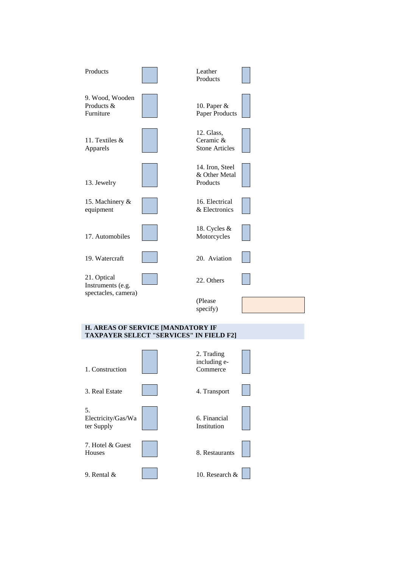

#### **H. AREAS OF SERVICE [MANDATORY IF TAXPAYER SELECT "SERVICES" IN FIELD F2]**

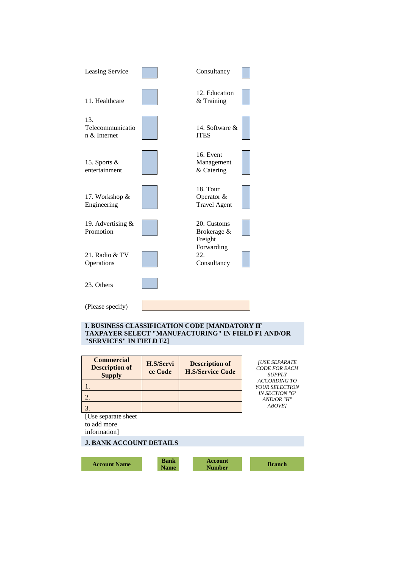

#### **I. BUSINESS CLASSIFICATION CODE [MANDATORY IF TAXPAYER SELECT "MANUFACTURING" IN FIELD F1 AND/OR "SERVICES" IN FIELD F2]**

| <b>Commercial</b><br><b>Description of</b><br><b>Supply</b> | H.S/Servi<br>ce Code | <b>Description of</b><br><b>H.S/Service Code</b> | <b>[USE SEPARATE</b><br><b>CODE FOR EACH</b><br><b>SUPPLY</b> |
|-------------------------------------------------------------|----------------------|--------------------------------------------------|---------------------------------------------------------------|
|                                                             |                      |                                                  | <b>ACCORDING TO</b><br>YOUR SELECTION                         |
|                                                             |                      |                                                  | <b>IN SECTION "G"</b><br>AND/OR "H"                           |
|                                                             |                      |                                                  | <b>ABOVE1</b>                                                 |
| [Use separate sheet]<br>to add more                         |                      |                                                  |                                                               |

information]

### **J. BANK ACCOUNT DETAILS**

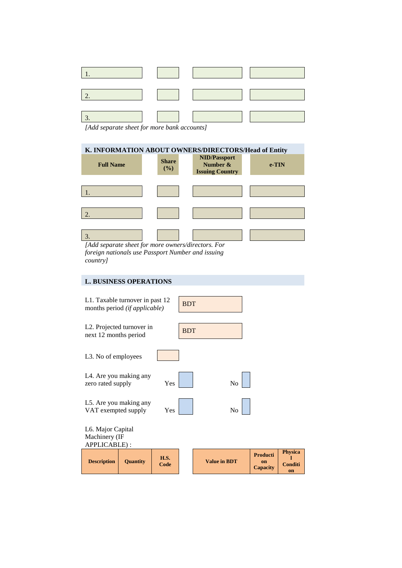|                                                                                                                                                                                                                                                                                                                           |  | $\mathcal{L}(\mathcal{L})$                                                                                 |
|---------------------------------------------------------------------------------------------------------------------------------------------------------------------------------------------------------------------------------------------------------------------------------------------------------------------------|--|------------------------------------------------------------------------------------------------------------|
|                                                                                                                                                                                                                                                                                                                           |  | $\mathcal{L}(\mathcal{L})$ and $\mathcal{L}(\mathcal{L})$                                                  |
| $\vert 3.$<br>$\mathbf{r}$ , $\mathbf{r}$ , $\mathbf{r}$ , $\mathbf{r}$ , $\mathbf{r}$ , $\mathbf{r}$ , $\mathbf{r}$ , $\mathbf{r}$ , $\mathbf{r}$ , $\mathbf{r}$ , $\mathbf{r}$ , $\mathbf{r}$ , $\mathbf{r}$ , $\mathbf{r}$ , $\mathbf{r}$ , $\mathbf{r}$ , $\mathbf{r}$ , $\mathbf{r}$ , $\mathbf{r}$ , $\mathbf{r}$ , |  | $\label{eq:2} \mathcal{L} = \mathcal{L} \left( \mathcal{L} \right) \mathcal{L} \left( \mathcal{L} \right)$ |

*[Add separate sheet for more bank accounts]*

| K. INFORMATION ABOUT OWNERS/DIRECTORS/Head of Entity |                        |                                                           |          |  |  |  |  |
|------------------------------------------------------|------------------------|-----------------------------------------------------------|----------|--|--|--|--|
| <b>Full Name</b>                                     | <b>Share</b><br>$($ %) | <b>NID/Passport</b><br>Number &<br><b>Issuing Country</b> | $e$ -TIN |  |  |  |  |
|                                                      |                        |                                                           |          |  |  |  |  |
|                                                      |                        |                                                           |          |  |  |  |  |
|                                                      |                        |                                                           |          |  |  |  |  |
|                                                      |                        |                                                           |          |  |  |  |  |
|                                                      |                        |                                                           |          |  |  |  |  |
|                                                      |                        |                                                           |          |  |  |  |  |

*[Add separate sheet for more owners/directors. For foreign nationals use Passport Number and issuing country]*

# **L. BUSINESS OPERATIONS**

| APPLICABLE):<br><b>Description</b>                               | <b>Quantity</b> | <b>H.S.</b><br>Code |            | <b>Value in BDT</b> | <b>Producti</b><br>on<br>Capacity | <b>Physica</b><br><b>Conditi</b> |
|------------------------------------------------------------------|-----------------|---------------------|------------|---------------------|-----------------------------------|----------------------------------|
| L6. Major Capital<br>Machinery (IF                               |                 |                     |            |                     |                                   |                                  |
| L5. Are you making any<br>VAT exempted supply                    |                 | Yes                 |            | No                  |                                   |                                  |
| L4. Are you making any<br>zero rated supply                      |                 | Yes                 |            | No                  |                                   |                                  |
| L3. No of employees                                              |                 |                     |            |                     |                                   |                                  |
| L2. Projected turnover in<br>next 12 months period               |                 |                     | <b>BDT</b> |                     |                                   |                                  |
| L1. Taxable turnover in past 12<br>months period (if applicable) |                 |                     | <b>BDT</b> |                     |                                   |                                  |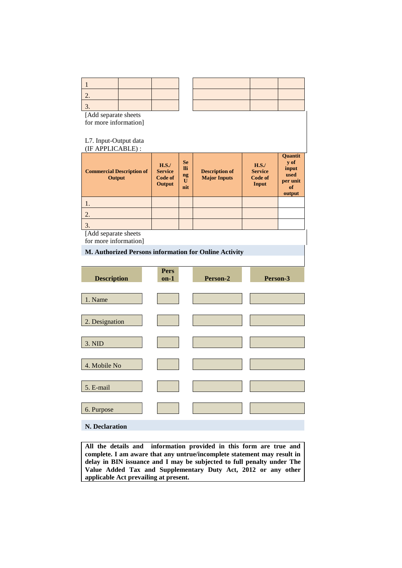| $\mathbf{1}$                                  |                                             |                                           |                                                       |                                            |                                                                     |
|-----------------------------------------------|---------------------------------------------|-------------------------------------------|-------------------------------------------------------|--------------------------------------------|---------------------------------------------------------------------|
| 2.                                            |                                             |                                           |                                                       |                                            |                                                                     |
| 3.                                            |                                             |                                           |                                                       |                                            |                                                                     |
| [Add separate sheets<br>for more information] |                                             |                                           |                                                       |                                            |                                                                     |
| L7. Input-Output data<br>(IF APPLICABLE):     |                                             |                                           |                                                       |                                            |                                                                     |
| <b>Commercial Description of</b><br>Output    | H.S.<br><b>Service</b><br>Code of<br>Output | <b>Se</b><br><b>Ili</b><br>ng<br>U<br>nit | <b>Description of</b><br><b>Major Inputs</b>          | H.S.<br><b>Service</b><br>Code of<br>Input | <b>Ouantit</b><br>v of<br>input<br>used<br>per unit<br>of<br>output |
| 1.                                            |                                             |                                           |                                                       |                                            |                                                                     |
| $\overline{2}$ .                              |                                             |                                           |                                                       |                                            |                                                                     |
| 3.                                            |                                             |                                           |                                                       |                                            |                                                                     |
| [Add separate sheets<br>for more information] |                                             |                                           |                                                       |                                            |                                                                     |
|                                               |                                             |                                           | M. Authorized Persons information for Online Activity |                                            |                                                                     |
|                                               |                                             |                                           |                                                       |                                            |                                                                     |
| <b>Description</b>                            | <b>Pers</b><br>$on-1$                       |                                           | Person-2                                              | Person-3                                   |                                                                     |
|                                               |                                             |                                           |                                                       |                                            |                                                                     |
| 1. Name                                       |                                             |                                           |                                                       |                                            |                                                                     |
| 2. Designation                                |                                             |                                           |                                                       |                                            |                                                                     |

#### **N. Declaration**

3. NID

4. Mobile No

5. E-mail

6. Purpose

**All the details and information provided in this form are true and complete. I am aware that any untrue/incomplete statement may result in delay in BIN issuance and I may be subjected to full penalty under The Value Added Tax and Supplementary Duty Act, 2012 or any other applicable Act prevailing at present.**